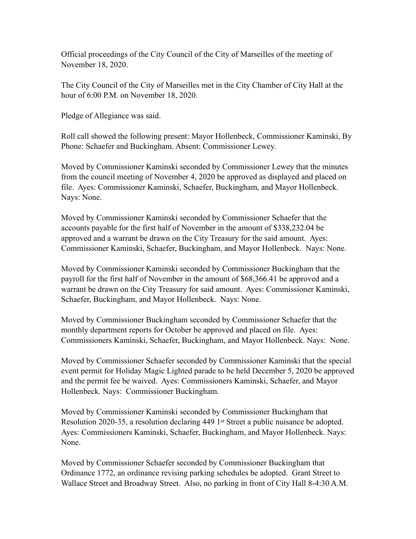Official proceedings of the City Council of the City of Marseilles of the meeting of November 18, 2020.

The City Council of the City of Marseilles met in the City Chamber of City Hall at the hour of 6:00 P.M. on November 18, 2020.

Pledge of Allegiance was said.

Roll call showed the following present: Mayor Hollenbeck, Commissioner Kaminski, By Phone: Schaefer and Buckingham. Absent: Commissioner Lewey.

Moved by Commissioner Kaminski seconded by Commissioner Lewey that the minutes from the council meeting of November 4, 2020 be approved as displayed and placed on file. Ayes: Commissioner Kaminski, Schaefer, Buckingham, and Mayor Hollenbeck. Nays: None.

Moved by Commissioner Kaminski seconded by Commissioner Schaefer that the accounts payable for the first half of November in the amount of \$338,232.04 be approved and a warrant be drawn on the City Treasury for the said amount. Ayes: Commissioner Kaminski, Schaefer, Buckingham, and Mayor Hollenbeck. Nays: None.

Moved by Commissioner Kaminski seconded by Commissioner Buckingham that the payroll for the first half of November in the amount of \$68,366.41 be approved and a warrant be drawn on the City Treasury for said amount. Ayes: Commissioner Kaminski, Schaefer, Buckingham, and Mayor Hollenbeck. Nays: None.

Moved by Commissioner Buckingham seconded by Commissioner Schaefer that the monthly department reports for October be approved and placed on file. Ayes: Commissioners Kaminski, Schaefer, Buckingham, and Mayor Hollenbeck. Nays: None.

Moved by Commissioner Schaefer seconded by Commissioner Kaminski that the special event permit for Holiday Magic Lighted parade to be held December 5, 2020 be approved and the permit fee be waived. Ayes: Commissioners Kaminski, Schaefer, and Mayor Hollenbeck. Nays: Commissioner Buckingham.

Moved by Commissioner Kaminski seconded by Commissioner Buckingham that Resolution 2020-35, a resolution declaring 449 1st Street a public nuisance be adopted. Ayes: Commissioners Kaminski, Schaefer, Buckingham, and Mayor Hollenbeck. Nays: None.

Moved by Commissioner Schaefer seconded by Commissioner Buckingham that Ordinance 1772, an ordinance revising parking schedules be adopted. Grant Street to Wallace Street and Broadway Street. Also, no parking in front of City Hall 8-4:30 A.M.